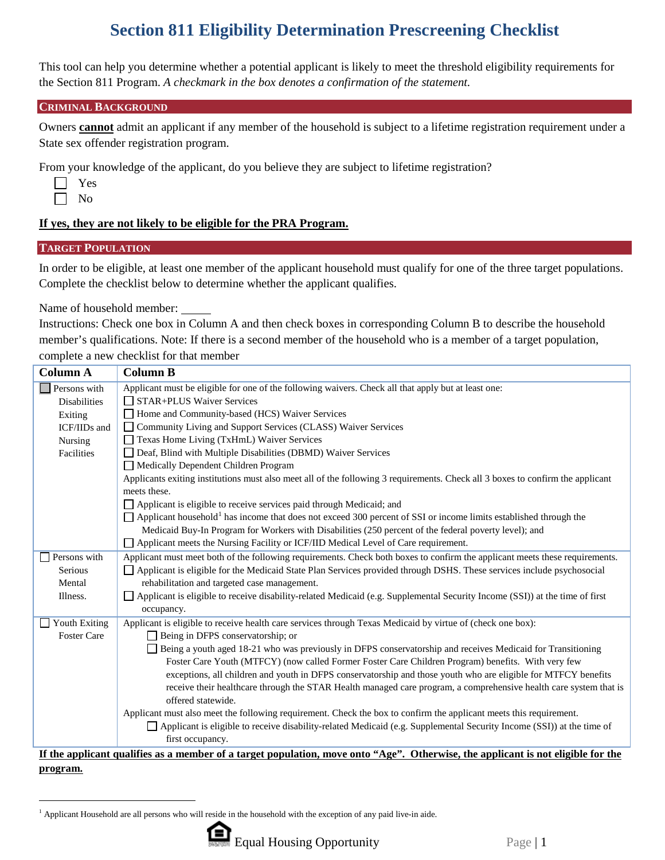# **Section 811 Eligibility Determination Prescreening Checklist**

This tool can help you determine whether a potential applicant is likely to meet the threshold eligibility requirements for the Section 811 Program. *A checkmark in the box denotes a confirmation of the statement.*

#### **CRIMINAL BACKGROUND**

Owners **cannot** admit an applicant if any member of the household is subject to a lifetime registration requirement under a State sex offender registration program.

From your knowledge of the applicant, do you believe they are subject to lifetime registration?

| s<br>c |
|--------|
| า      |

L

## **If yes, they are not likely to be eligible for the PRA Program.**

## **TARGET POPULATION**

In order to be eligible, at least one member of the applicant household must qualify for one of the three target populations. Complete the checklist below to determine whether the applicant qualifies.

Name of household member:

Instructions: Check one box in Column A and then check boxes in corresponding Column B to describe the household member's qualifications. Note: If there is a second member of the household who is a member of a target population, complete a new checklist for that member

| <b>Column A</b>             | <b>Column B</b>                                                                                                                     |  |  |  |
|-----------------------------|-------------------------------------------------------------------------------------------------------------------------------------|--|--|--|
| Persons with                | Applicant must be eligible for one of the following waivers. Check all that apply but at least one:                                 |  |  |  |
| <b>Disabilities</b>         | $\Box$ STAR+PLUS Waiver Services                                                                                                    |  |  |  |
| Exiting                     | Home and Community-based (HCS) Waiver Services                                                                                      |  |  |  |
| ICF/IIDs and                | □ Community Living and Support Services (CLASS) Waiver Services                                                                     |  |  |  |
| Nursing                     | Texas Home Living (TxHmL) Waiver Services                                                                                           |  |  |  |
| Facilities                  | Deaf, Blind with Multiple Disabilities (DBMD) Waiver Services                                                                       |  |  |  |
|                             | Medically Dependent Children Program                                                                                                |  |  |  |
|                             | Applicants exiting institutions must also meet all of the following 3 requirements. Check all 3 boxes to confirm the applicant      |  |  |  |
|                             | meets these.                                                                                                                        |  |  |  |
|                             | Applicant is eligible to receive services paid through Medicaid; and                                                                |  |  |  |
|                             | $\Box$ Applicant household <sup>1</sup> has income that does not exceed 300 percent of SSI or income limits established through the |  |  |  |
|                             | Medicaid Buy-In Program for Workers with Disabilities (250 percent of the federal poverty level); and                               |  |  |  |
|                             | Applicant meets the Nursing Facility or ICF/IID Medical Level of Care requirement.                                                  |  |  |  |
| Persons with                | Applicant must meet both of the following requirements. Check both boxes to confirm the applicant meets these requirements.         |  |  |  |
| Serious                     | Applicant is eligible for the Medicaid State Plan Services provided through DSHS. These services include psychosocial               |  |  |  |
| Mental                      | rehabilitation and targeted case management.                                                                                        |  |  |  |
| Illness.                    | Applicant is eligible to receive disability-related Medicaid (e.g. Supplemental Security Income (SSI)) at the time of first         |  |  |  |
|                             | occupancy.                                                                                                                          |  |  |  |
| <b>Youth Exiting</b><br>l I | Applicant is eligible to receive health care services through Texas Medicaid by virtue of (check one box):                          |  |  |  |
| <b>Foster Care</b>          | Being in DFPS conservatorship; or                                                                                                   |  |  |  |
|                             | Being a youth aged 18-21 who was previously in DFPS conservatorship and receives Medicaid for Transitioning                         |  |  |  |
|                             | Foster Care Youth (MTFCY) (now called Former Foster Care Children Program) benefits. With very few                                  |  |  |  |
|                             | exceptions, all children and youth in DFPS conservatorship and those youth who are eligible for MTFCY benefits                      |  |  |  |
|                             | receive their healthcare through the STAR Health managed care program, a comprehensive health care system that is                   |  |  |  |
|                             | offered statewide.                                                                                                                  |  |  |  |
|                             | Applicant must also meet the following requirement. Check the box to confirm the applicant meets this requirement.                  |  |  |  |
|                             | Applicant is eligible to receive disability-related Medicaid (e.g. Supplemental Security Income (SSI)) at the time of               |  |  |  |
|                             | first occupancy.                                                                                                                    |  |  |  |
|                             | If the applicant qualifies as a member of a target population, move onto "Age". Otherwise, the applicant is not eligible for the    |  |  |  |

#### **If the applicant qualifies as a member of a target population, move onto "Age". Otherwise, the applicant is not eligible for the program.**

<span id="page-0-0"></span> <sup>1</sup> Applicant Household are all persons who will reside in the household with the exception of any paid live-in aide.

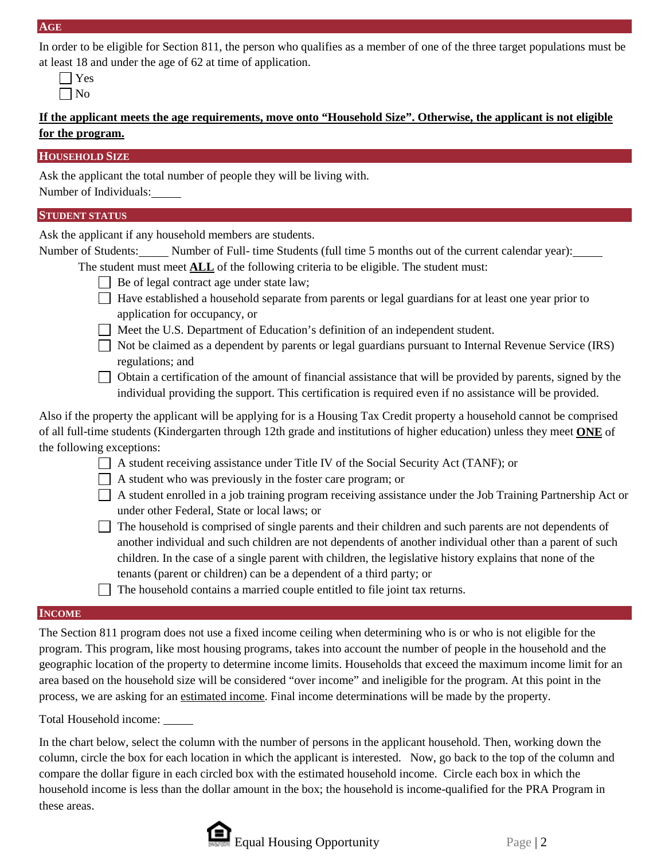In order to be eligible for Section 811, the person who qualifies as a member of one of the three target populations must be at least 18 and under the age of 62 at time of application.

**If the applicant meets the age requirements, move onto "Household Size". Otherwise, the applicant is not eligible for the program.**

## **HOUSEHOLD SIZE**

Ask the applicant the total number of people they will be living with. Number of Individuals:

## **STUDENT STATUS**

Ask the applicant if any household members are students.

Number of Students: Number of Full- time Students (full time 5 months out of the current calendar year): The student must meet **ALL** of the following criteria to be eligible. The student must:

- $\Box$  Be of legal contract age under state law;
- Have established a household separate from parents or legal guardians for at least one year prior to application for occupancy, or
- Meet the U.S. Department of Education's definition of an independent student.
- Not be claimed as a dependent by parents or legal guardians pursuant to Internal Revenue Service (IRS) regulations; and
- $\Box$  Obtain a certification of the amount of financial assistance that will be provided by parents, signed by the individual providing the support. This certification is required even if no assistance will be provided.

Also if the property the applicant will be applying for is a Housing Tax Credit property a household cannot be comprised of all full-time students (Kindergarten through 12th grade and institutions of higher education) unless they meet **ONE** of the following exceptions:

- $\Box$  A student receiving assistance under Title IV of the Social Security Act (TANF); or
- $\Box$  A student who was previously in the foster care program; or
- A student enrolled in a job training program receiving assistance under the Job Training Partnership Act or under other Federal, State or local laws; or

 $\Box$  The household is comprised of single parents and their children and such parents are not dependents of another individual and such children are not dependents of another individual other than a parent of such children. In the case of a single parent with children, the legislative history explains that none of the tenants (parent or children) can be a dependent of a third party; or

The household contains a married couple entitled to file joint tax returns.

## **INCOME**

The Section 811 program does not use a fixed income ceiling when determining who is or who is not eligible for the program. This program, like most housing programs, takes into account the number of people in the household and the geographic location of the property to determine income limits. Households that exceed the maximum income limit for an area based on the household size will be considered "over income" and ineligible for the program. At this point in the process, we are asking for an estimated income. Final income determinations will be made by the property.

Total Household income:

In the chart below, select the column with the number of persons in the applicant household. Then, working down the column, circle the box for each location in which the applicant is interested. Now, go back to the top of the column and compare the dollar figure in each circled box with the estimated household income. Circle each box in which the household income is less than the dollar amount in the box; the household is income-qualified for the PRA Program in these areas.